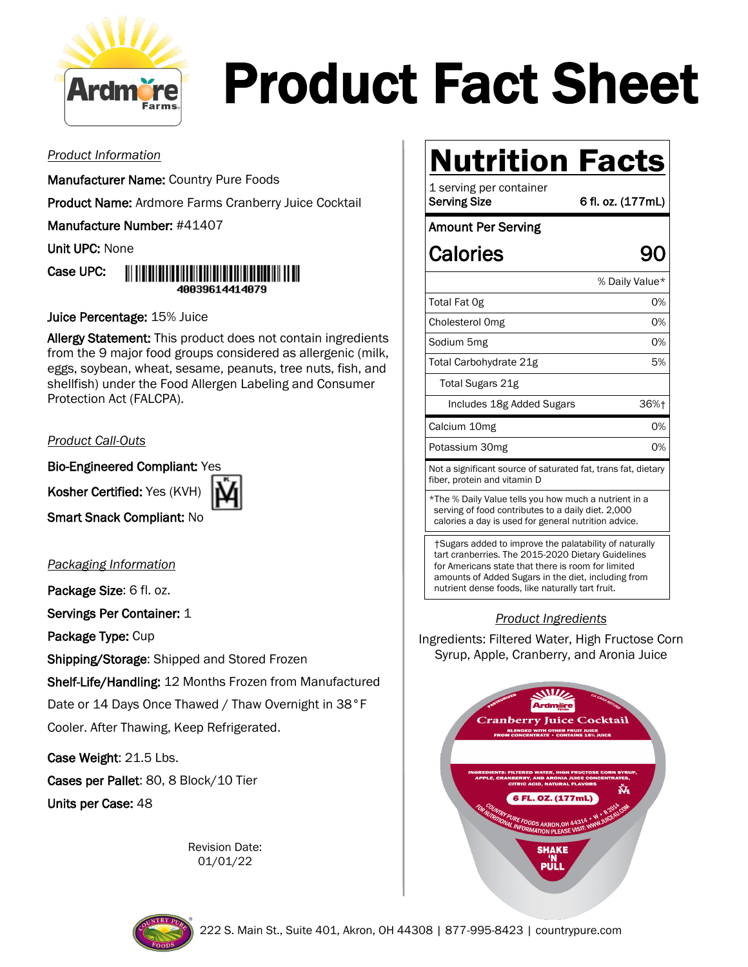

# Product Fact Sheet

#### *Product Information*

Manufacturer Name: Country Pure Foods

Product Name: Ardmore Farms Cranberry Juice Cocktail

Manufacture Number: #41407

Unit UPC: None



Juice Percentage: 15% Juice

Allergy Statement: This product does not contain ingredients from the 9 major food groups considered as allergenic (milk, eggs, soybean, wheat, sesame, peanuts, tree nuts, fish, and shellfish) under the Food Allergen Labeling and Consumer Protection Act (FALCPA).

#### *Product Call-Outs*

Bio-Engineered Compliant: Yes

Kosher Certified: Yes (KVH)



Smart Snack Compliant: No

*Packaging Information*

Package Size: 6 fl. oz. Servings Per Container: 1

Package Type: Cup

Shipping/Storage: Shipped and Stored Frozen

Shelf-Life/Handling: 12 Months Frozen from Manufactured Date or 14 Days Once Thawed / Thaw Overnight in 38°F Cooler. After Thawing, Keep Refrigerated.

Case Weight: 21.5 Lbs.

Cases per Pallet: 80, 8 Block/10 Tier Units per Case: 48

> Revision Date: 01/01/22

# **Nutrition Facts**

1 serving per container Serving Size 6 fl. oz. (177mL)

#### Amount Per Serving

### Calories 90

|                                                                                               | % Daily Value* |  |
|-----------------------------------------------------------------------------------------------|----------------|--|
| Total Fat Og                                                                                  | 0%             |  |
| Cholesterol Omg                                                                               | 0%             |  |
| Sodium 5mg                                                                                    | 0%             |  |
| Total Carbohydrate 21g                                                                        | 5%             |  |
| Total Sugars 21g                                                                              |                |  |
| Includes 18g Added Sugars                                                                     | 36%+           |  |
| Calcium 10mg                                                                                  | 0%             |  |
| Potassium 30mg                                                                                | 0%             |  |
| Not a significant source of saturated fat, trans fat, dietary<br>fiber, protein and vitamin D |                |  |
| $\star$ The $\%$ Daily Value tells you have much a putriant in a                              |                |  |

The % Daily Value tells you how much a nutrient in a serving of food contributes to a daily diet. 2,000 calories a day is used for general nutrition advice.

†Sugars added to improve the palatability of naturally tart cranberries. The 2015-2020 Dietary Guidelines for Americans state that there is room for limited amounts of Added Sugars in the diet, including from nutrient dense foods, like naturally tart fruit.

#### *Product Ingredients*

Ingredients: Filtered Water, High Fructose Corn Syrup, Apple, Cranberry, and Aronia Juice